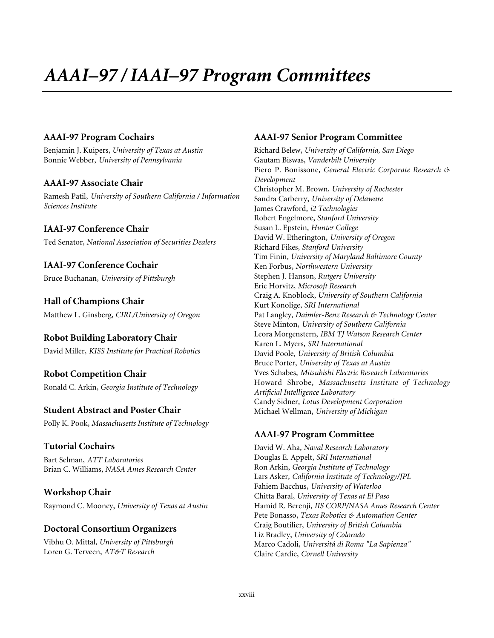# *AAAI–97 / IAAI–97 Program Committees*

#### **AAAI-97 Program Cochairs**

Benjamin J. Kuipers, *University of Texas at Austin* Bonnie Webber, *University of Pennsylvania*

#### **AAAI-97 Associate Chair**

Ramesh Patil, *University of Southern California / Information Sciences Institute*

#### **IAAI-97 Conference Chair**

Ted Senator, *National Association of Securities Dealers*

# **IAAI-97 Conference Cochair**

Bruce Buchanan, *University of Pittsburgh*

**Hall of Champions Chair** Matthew L. Ginsberg, *CIRL/University of Oregon*

# **Robot Building Laboratory Chair**

David Miller, *KISS Institute for Practical Robotics*

#### **Robot Competition Chair**

Ronald C. Arkin, *Georgia Institute of Technology*

#### **Student Abstract and Poster Chair**

Polly K. Pook, *Massachusetts Institute of Technology*

#### **Tutorial Cochairs**

Bart Selman, *ATT Laboratories* Brian C. Williams, *NASA Ames Research Center*

#### **Workshop Chair**

Raymond C. Mooney, *University of Texas at Austin*

## **Doctoral Consortium Organizers**

Vibhu O. Mittal, *University of Pittsburgh* Loren G. Terveen, *AT&T Research*

#### **AAAI-97 Senior Program Committee**

Richard Belew, *University of California, San Diego* Gautam Biswas, *Vanderbilt University* Piero P. Bonissone, *General Electric Corporate Research & Development* Christopher M. Brown, *University of Rochester* Sandra Carberry, *University of Delaware* James Crawford, *i2 Technologies* Robert Engelmore, *Stanford University* Susan L. Epstein, *Hunter College* David W. Etherington, *University of Oregon* Richard Fikes, *Stanford University* Tim Finin, *University of Maryland Baltimore County* Ken Forbus, *Northwestern University* Stephen J. Hanson, *Rutgers University* Eric Horvitz, *Microsoft Research* Craig A. Knoblock, *University of Southern California* Kurt Konolige, *SRI International* Pat Langley, *Daimler-Benz Research & Technology Center* Steve Minton, *University of Southern California* Leora Morgenstern, *IBM TJ Watson Research Center* Karen L. Myers, *SRI International* David Poole, *University of British Columbia* Bruce Porter, *University of Texas at Austin* Yves Schabes, *Mitsubishi Electric Research Laboratories* Howard Shrobe, *Massachusetts Institute of Technology Artificial Intelligence Laboratory* Candy Sidner, *Lotus Development Corporation* Michael Wellman, *University of Michigan*

## **AAAI-97 Program Committee**

David W. Aha, *Naval Research Laboratory* Douglas E. Appelt, *SRI International* Ron Arkin, *Georgia Institute of Technology* Lars Asker, *California Institute of Technology/JPL* Fahiem Bacchus, *University of Waterloo* Chitta Baral, *University of Texas at El Paso* Hamid R. Berenji, *IIS CORP/NASA Ames Research Center* Pete Bonasso, *Texas Robotics & Automation Center* Craig Boutilier, *University of British Columbia* Liz Bradley, *University of Colorado* Marco Cadoli, *Universitá di Roma "La Sapienza"* Claire Cardie, *Cornell University*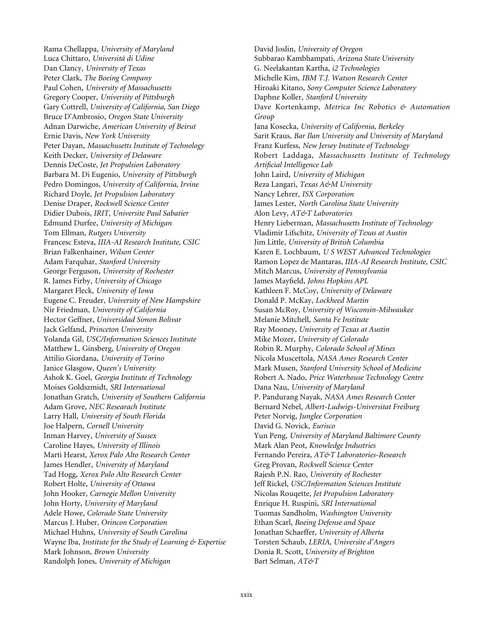Rama Chellappa, *University of Maryland* Luca Chittaro, *Universitá di Udine* Dan Clancy, *University of Texas* Peter Clark, *The Boeing Company* Paul Cohen, *University of Massachusetts* Gregory Cooper, *University of Pittsburgh* Gary Cottrell, *University of California, San Diego* Bruce D'Ambrosio, *Oregon State University* Adnan Darwiche, *American University of Beirut* Ernie Davis, *New York University* Peter Dayan, *Massachusetts Institute of Technology* Keith Decker, *University of Delaware* Dennis DeCoste, *Jet Propulsion Laboratory* Barbara M. Di Eugenio, *University of Pittsburgh* Pedro Domingos, *University of California, Irvine* Richard Doyle, *Jet Propulsion Laboratory* Denise Draper, *Rockwell Science Center* Didier Dubois, *IRIT, Universite Paul Sabatier* Edmund Durfee, *University of Michigan* Tom Ellman, *Rutgers University* Francesc Esteva, *IIIA-AI Research Institute, CSIC* Brian Falkenhainer, *Wilson Center* Adam Farquhar, *Stanford University* George Ferguson, *University of Rochester* R. James Firby, *University of Chicago* Margaret Fleck, *University of Iowa* Eugene C. Freuder, *University of New Hampshire* Nir Friedman, *University of California* Hector Geffner, *Universidad Simon Bolivar* Jack Gelfand, *Princeton University* Yolanda Gil, *USC/Information Sciences Institute* Matthew L. Ginsberg, *University of Oregon* Attilio Giordana, *University of Torino* Janice Glasgow, *Queen's University* Ashok K. Goel, *Georgia Institute of Technology* Moises Goldszmidt, *SRI International* Jonathan Gratch, *University of Southern California* Adam Grove, *NEC Researach Institute* Larry Hall, *University of South Florida* Joe Halpern, *Cornell University* Inman Harvey, *University of Sussex* Caroline Hayes, *University of Illinois* Marti Hearst, *Xerox Palo Alto Research Center* James Hendler, *University of Maryland* Tad Hogg, *Xerox Palo Alto Research Center* Robert Holte, *University of Ottawa* John Hooker, *Carnegie Mellon University* John Horty, *University of Maryland* Adele Howe, *Colorado State University* Marcus J. Huber, *Orincon Corporation* Michael Huhns, *University of South Carolina* Wayne Iba, *Institute for the Study of Learning & Expertise* Mark Johnson, *Brown University* Randolph Jones, *University of Michigan*

David Joslin, *University of Oregon* Subbarao Kambhampati, *Arizona State University* G. Neelakantan Kartha, *i2 Technologies* Michelle Kim, *IBM T.J. Watson Research Center* Hiroaki Kitano, *Sony Computer Science Laboratory* Daphne Koller, *Stanford University* Dave Kortenkamp, *Metrica Inc Robotics & Automation Group* Jana Kosecka, *University of California, Berkeley* Sarit Kraus, *Bar Ilan University and University of Maryland* Franz Kurfess, *New Jersey Institute of Technology* Robert Laddaga, *Massachusetts Institute of Technology Artificial Intelligence Lab* John Laird, *University of Michigan* Reza Langari, *Texas A&M University* Nancy Lehrer, *ISX Corporation* James Lester, *North Carolina State University* Alon Levy, *AT&T Laboratories* Henry Lieberman, *Massachusetts Institute of Technology* Vladimir Lifschitz, *University of Texas at Austin* Jim Little, *University of British Columbia* Karen E. Lochbaum, *U S WEST Advanced Technologies* Ramon Lopez de Mantaras, *IIIA-AI Research Institute, CSIC* Mitch Marcus, *University of Pennsylvania* James Mayfield, *Johns Hopkins APL* Kathleen F. McCoy, *University of Delaware* Donald P. McKay, *Lockheed Martin* Susan McRoy, *University of Wisconsin-Milwaukee* Melanie Mitchell, *Santa Fe Institute* Ray Mooney, *University of Texas at Austin* Mike Mozer, *University of Colorado* Robin R. Murphy, *Colorado School of Mines* Nicola Muscettola, *NASA Ames Research Center* Mark Musen, *Stanford University School of Medicine* Robert A. Nado, *Price Waterhouse Technology Centre* Dana Nau, *University of Maryland* P. Pandurang Nayak, *NASA Ames Research Center* Bernard Nebel, *Albert-Ludwigs-Universitat Freiburg* Peter Norvig, *Junglee Corporation* David G. Novick, *Eurisco* Yun Peng, *University of Maryland Baltimore County* Mark Alan Peot, *Knowledge Industries* Fernando Pereira, *AT&T Laboratories-Research* Greg Provan, *Rockwell Science Center* Rajesh P.N. Rao, *University of Rochester* Jeff Rickel, *USC/Information Sciences Institute* Nicolas Rouqette, *Jet Propulsion Laboratory* Enrique H. Ruspini, *SRI International* Tuomas Sandholm, *Washington University* Ethan Scarl, *Boeing Defense and Space* Jonathan Schaeffer, *University of Alberta* Torsten Schaub, *LERIA, Universite d'Angers* Donia R. Scott, *University of Brighton* Bart Selman, *AT&T*